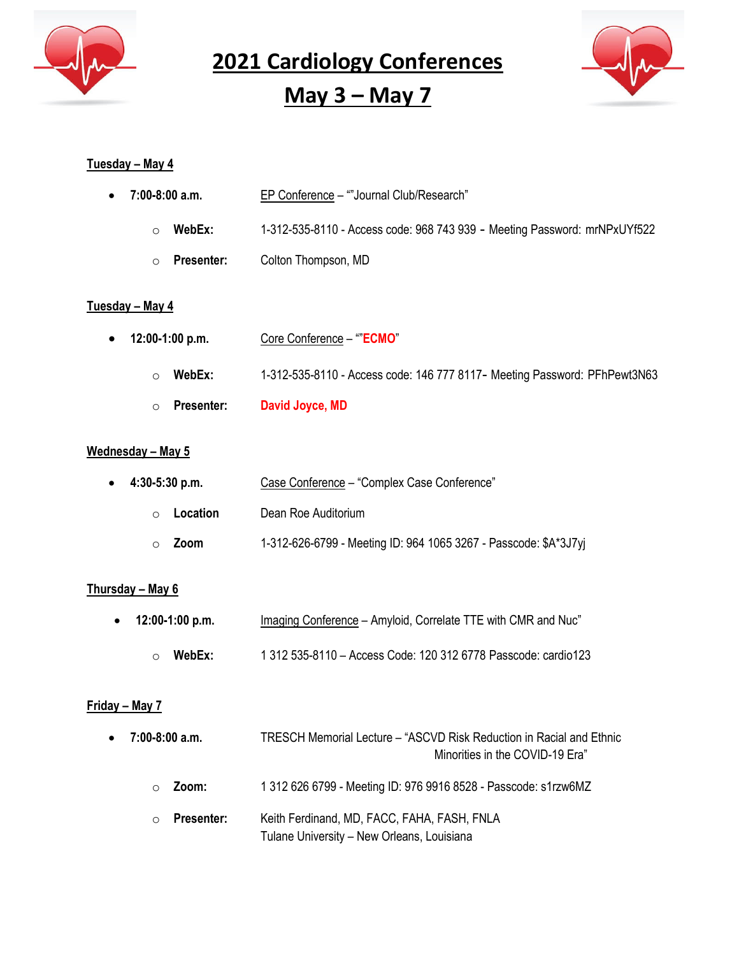

**May 3 – May 7**



#### **Tuesday – May 4**

| $\circ$                       | Presenter:        | David Joyce, MD                                                           |
|-------------------------------|-------------------|---------------------------------------------------------------------------|
| $\circ$                       | WebEx:            | 1-312-535-8110 - Access code: 146 777 8117- Meeting Password: PFhPewt3N63 |
| $\bullet$                     | 12:00-1:00 p.m.   | Core Conference - ""ECMO"                                                 |
| Tuesday – May 4               |                   |                                                                           |
| $\circ$                       | <b>Presenter:</b> | Colton Thompson, MD                                                       |
| $\circ$                       | WebEx:            | 1-312-535-8110 - Access code: 968 743 939 - Meeting Password: mrNPxUYf522 |
| $7:00-8:00$ a.m.<br>$\bullet$ |                   | EP Conference - ""Journal Club/Research"                                  |

#### **Wednesday – May 5**

| $\bullet$ 4:30-5:30 p.m. | Case Conference - "Complex Case Conference"                      |
|--------------------------|------------------------------------------------------------------|
| Location<br>◯            | Dean Roe Auditorium                                              |
| <b>Zoom</b>              | 1-312-626-6799 - Meeting ID: 964 1065 3267 - Passcode: \$A*3J7yj |

#### **Thursday – May 6**

| • $12:00-1:00$ p.m. | Imaging Conference - Amyloid, Correlate TTE with CMR and Nuc"  |
|---------------------|----------------------------------------------------------------|
| WebEx:              | 1 312 535-8110 - Access Code: 120 312 6778 Passcode: cardio123 |

#### **Friday – May 7**

| $\bullet$ 7:00-8:00 a.m. | TRESCH Memorial Lecture – "ASCVD Risk Reduction in Racial and Ethnic<br>Minorities in the COVID-19 Era" |
|--------------------------|---------------------------------------------------------------------------------------------------------|
| Zoom:<br>$\Omega$        | 1 312 626 6799 - Meeting ID: 976 9916 8528 - Passcode: s1rzw6MZ                                         |
| Presenter:<br>$\bigcap$  | Keith Ferdinand, MD, FACC, FAHA, FASH, FNLA<br>Tulane University - New Orleans, Louisiana               |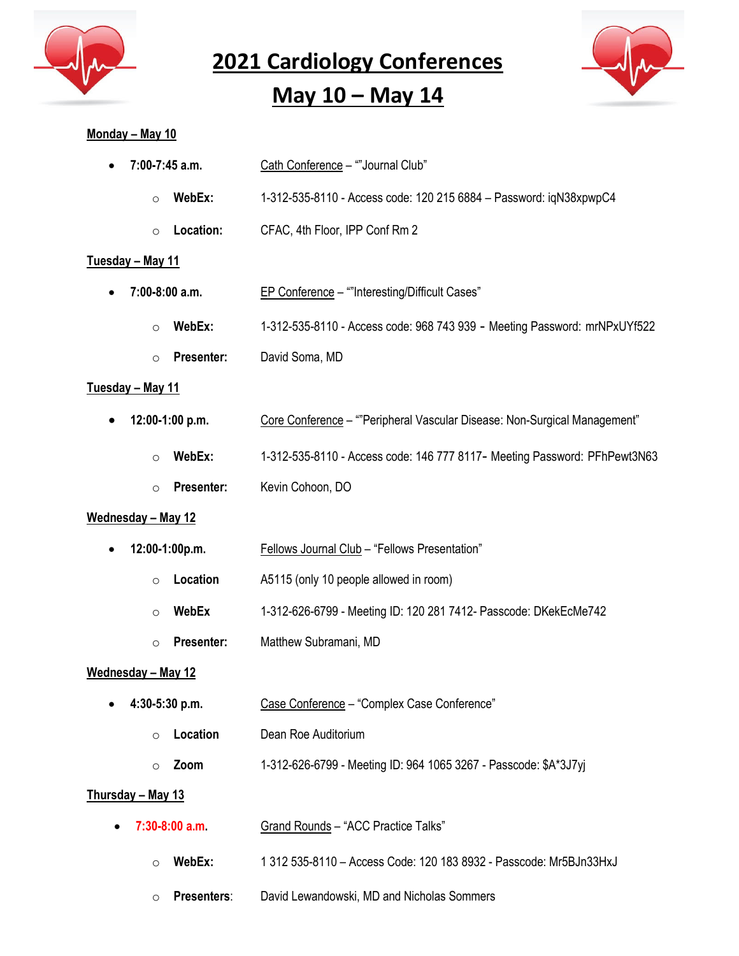

# **May 10 – May 14**



#### **Monday – May 10**

| 7:00-7:45 a.m.               | Cath Conference - ""Journal Club"                                         |
|------------------------------|---------------------------------------------------------------------------|
| WebEx:<br>$\circ$            | 1-312-535-8110 - Access code: 120 215 6884 - Password: iqN38xpwpC4        |
| Location:<br>$\circ$         | CFAC, 4th Floor, IPP Conf Rm 2                                            |
| <u> Tuesday – May 11</u>     |                                                                           |
| 7:00-8:00 a.m.               | EP Conference - ""Interesting/Difficult Cases"                            |
| WebEx:<br>$\circ$            | 1-312-535-8110 - Access code: 968 743 939 - Meeting Password: mrNPxUYf522 |
| Presenter:<br>$\circ$        | David Soma, MD                                                            |
| <u>Tuesday – May 11</u>      |                                                                           |
| 12:00-1:00 p.m.              | Core Conference - ""Peripheral Vascular Disease: Non-Surgical Management" |
| WebEx:<br>$\circ$            | 1-312-535-8110 - Access code: 146 777 8117- Meeting Password: PFhPewt3N63 |
| Presenter:<br>$\circ$        | Kevin Cohoon, DO                                                          |
| <u> Wednesday – May 12</u>   |                                                                           |
| 12:00-1:00p.m.               | <b>Fellows Journal Club - "Fellows Presentation"</b>                      |
| Location<br>$\circ$          | A5115 (only 10 people allowed in room)                                    |
| <b>WebEx</b><br>$\circ$      | 1-312-626-6799 - Meeting ID: 120 281 7412- Passcode: DKekEcMe742          |
| <b>Presenter:</b><br>$\circ$ | Matthew Subramani, MD                                                     |
| <u> Wednesday – May 12</u>   |                                                                           |
| 4:30-5:30 p.m.               | Case Conference - "Complex Case Conference"                               |
| Location<br>$\circ$          | Dean Roe Auditorium                                                       |
| Zoom<br>$\circ$              | 1-312-626-6799 - Meeting ID: 964 1065 3267 - Passcode: \$A*3J7yj          |
| Thursday - May 13            |                                                                           |
| $7:30-8:00$ a.m.             | Grand Rounds - "ACC Practice Talks"                                       |
| WebEx:<br>O                  | 1 312 535-8110 - Access Code: 120 183 8932 - Passcode: Mr5BJn33HxJ        |
| Presenters:<br>$\circ$       | David Lewandowski, MD and Nicholas Sommers                                |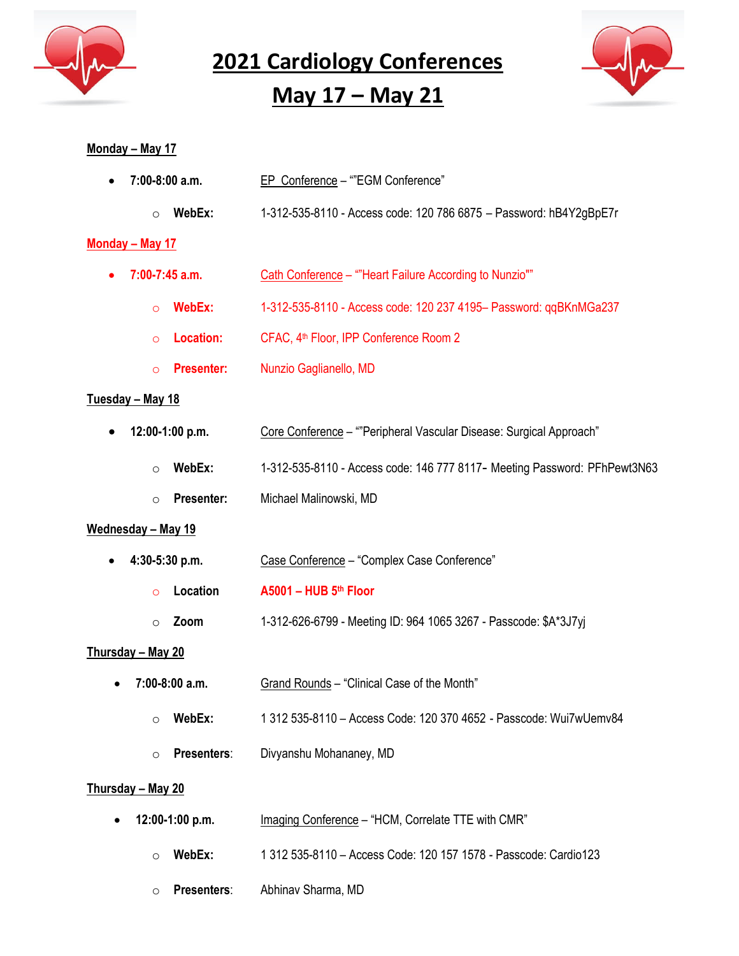

### **May 17 – May 21**



#### **Monday – May 17**

| $\bullet$ 7:00-8:00 a.m. | EP Conference - ""EGM Conference" |
|--------------------------|-----------------------------------|
|                          |                                   |

o **WebEx:** 1-312-535-8110 - Access code: 120 786 6875 – Password: hB4Y2gBpE7r

#### **Monday – May 17**

- 7:00-7:45 a.m. **Cath Conference** ""Heart Failure According to Nunzio""
	- o **WebEx:** 1-312-535-8110 Access code: 120 237 4195– Password: qqBKnMGa237
	- o **Location:** CFAC, 4th Floor, IPP Conference Room 2
	- o **Presenter:** Nunzio Gaglianello, MD

#### **Tuesday – May 18**

- **12:00-1:00 p.m. Core Conference ""Peripheral Vascular Disease: Surgical Approach"** 
	- o **WebEx:** 1-312-535-8110 Access code: 146 777 8117- Meeting Password: PFhPewt3N63
	- o **Presenter:** Michael Malinowski, MD

#### **Wednesday – May 19**

| $\bullet$ 4:30-5:30 p.m. | Case Conference - "Complex Case Conference"                      |
|--------------------------|------------------------------------------------------------------|
| Location<br>$\Omega$     | $A5001 - HUB 5th Floor$                                          |
| <b>Zoom</b><br>$\cap$    | 1-312-626-6799 - Meeting ID: 964 1065 3267 - Passcode: \$A*3J7yj |

#### **Thursday – May 20**

- **7:00-8:00 a.m.** Grand Rounds "Clinical Case of the Month"
	- o **WebEx:** 1 312 535-8110 Access Code: 120 370 4652 Passcode: Wui7wUemv84
	- o **Presenters**: Divyanshu Mohananey, MD

#### **Thursday – May 20**

- **12:00-1:00 p.m.** Imaging Conference "HCM, Correlate TTE with CMR"
	- o **WebEx:** 1 312 535-8110 Access Code: 120 157 1578 Passcode: Cardio123
	- o **Presenters**: Abhinav Sharma, MD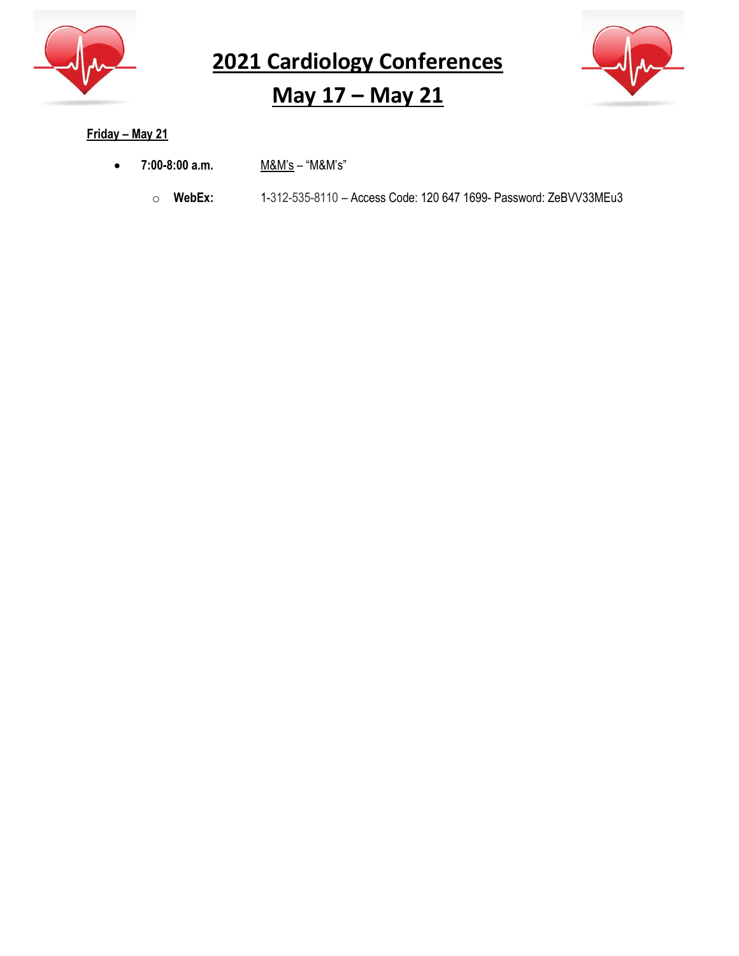

# **May 17 – May 21**



#### **Friday – May 21**

- **7:00-8:00 a.m.** M&M's "M&M's"
	- o **WebEx:** 1-312-535-8110 Access Code: 120 647 1699- Password: ZeBVV33MEu3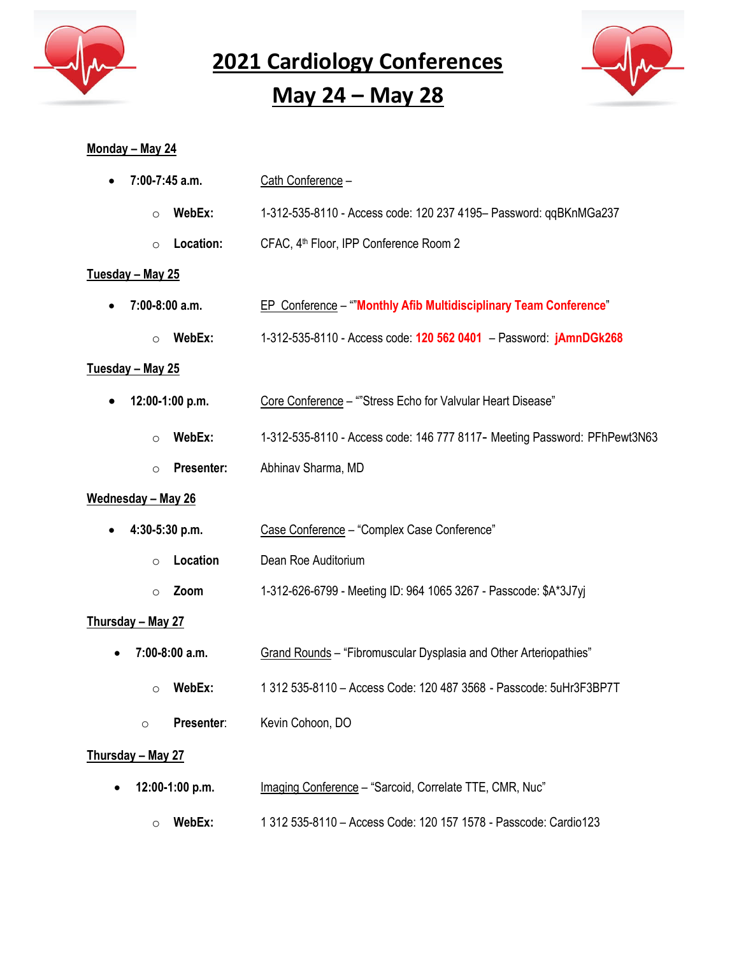

**May 24 – May 28**



#### **Monday – May 24**

| 7:00-7:45 a.m.               | Cath Conference -                                                         |
|------------------------------|---------------------------------------------------------------------------|
| WebEx:<br>$\circ$            | 1-312-535-8110 - Access code: 120 237 4195- Password: qqBKnMGa237         |
| Location:<br>$\circ$         | CFAC, 4 <sup>th</sup> Floor, IPP Conference Room 2                        |
| Tuesday - May 25             |                                                                           |
| $7:00-8:00$ a.m.             | EP Conference - "Monthly Afib Multidisciplinary Team Conference"          |
| WebEx:<br>$\circ$            | 1-312-535-8110 - Access code: 120 562 0401 - Password: jAmnDGk268         |
| Tuesday - May 25             |                                                                           |
| 12:00-1:00 p.m.              | Core Conference - ""Stress Echo for Valvular Heart Disease"               |
| WebEx:<br>$\circ$            | 1-312-535-8110 - Access code: 146 777 8117- Meeting Password: PFhPewt3N63 |
| <b>Presenter:</b><br>$\circ$ | Abhinav Sharma, MD                                                        |
| Wednesday - May 26           |                                                                           |
| 4:30-5:30 p.m.               | Case Conference - "Complex Case Conference"                               |
| Location<br>$\circ$          | Dean Roe Auditorium                                                       |
| Zoom<br>$\circ$              | 1-312-626-6799 - Meeting ID: 964 1065 3267 - Passcode: \$A*3J7yj          |
| <u>Thursday – May 27</u>     |                                                                           |
| 7:00-8:00 a.m.               | Grand Rounds - "Fibromuscular Dysplasia and Other Arteriopathies"         |
| WebEx:<br>$\circ$            | 1 312 535-8110 - Access Code: 120 487 3568 - Passcode: 5uHr3F3BP7T        |
| Presenter:<br>$\circ$        | Kevin Cohoon, DO                                                          |
| <u>Thursday – May 27</u>     |                                                                           |
| 12:00-1:00 p.m.              | Imaging Conference - "Sarcoid, Correlate TTE, CMR, Nuc"                   |

o **WebEx:** 1 312 535-8110 – Access Code: 120 157 1578 - Passcode: Cardio123